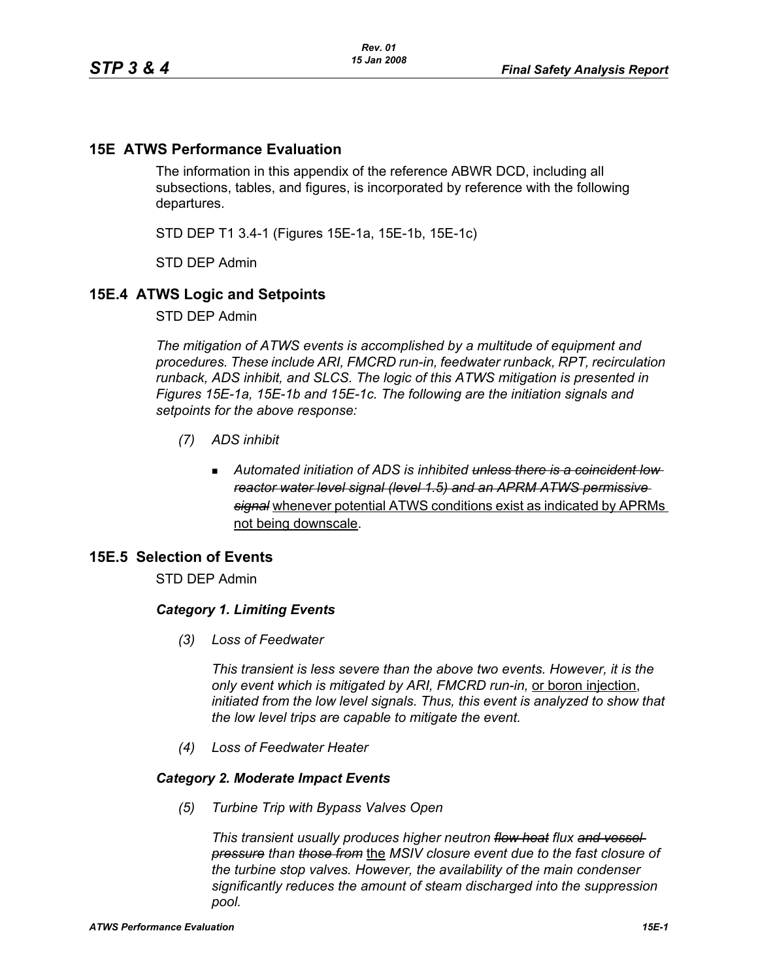# **15E ATWS Performance Evaluation**

The information in this appendix of the reference ABWR DCD, including all subsections, tables, and figures, is incorporated by reference with the following departures.

STD DEP T1 3.4-1 (Figures 15E-1a, 15E-1b, 15E-1c)

STD DEP Admin

# **15E.4 ATWS Logic and Setpoints**

STD DEP Admin

*The mitigation of ATWS events is accomplished by a multitude of equipment and procedures. These include ARI, FMCRD run-in, feedwater runback, RPT, recirculation runback, ADS inhibit, and SLCS. The logic of this ATWS mitigation is presented in Figures 15E-1a, 15E-1b and 15E-1c. The following are the initiation signals and setpoints for the above response:*

- *(7) ADS inhibit*
	- *Automated initiation of ADS is inhibited unless there is a coincident low reactor water level signal (level 1.5) and an APRM ATWS permissive signal* whenever potential ATWS conditions exist as indicated by APRMs not being downscale.

# **15E.5 Selection of Events**

STD DEP Admin

## *Category 1. Limiting Events*

*(3) Loss of Feedwater*

*This transient is less severe than the above two events. However, it is the only event which is mitigated by ARI, FMCRD run-in,* or boron injection, *initiated from the low level signals. Thus, this event is analyzed to show that the low level trips are capable to mitigate the event.*

*(4) Loss of Feedwater Heater*

## *Category 2. Moderate Impact Events*

*(5) Turbine Trip with Bypass Valves Open*

*This transient usually produces higher neutron flow heat flux and vessel pressure than those from* the *MSIV closure event due to the fast closure of the turbine stop valves. However, the availability of the main condenser significantly reduces the amount of steam discharged into the suppression pool.*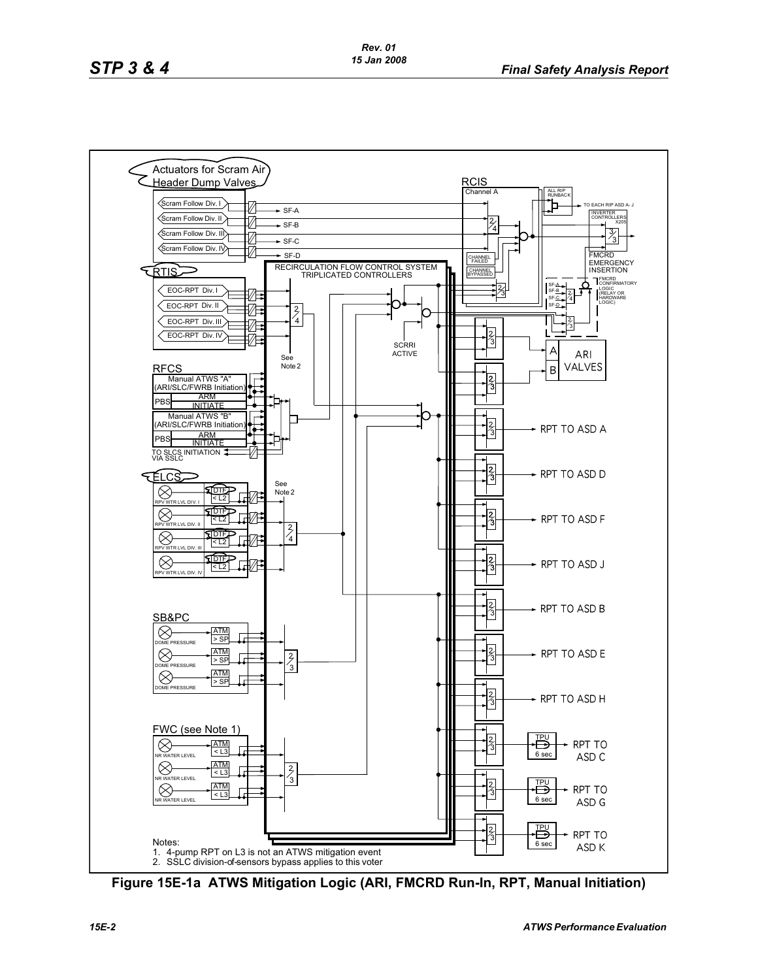

**Figure 15E-1a ATWS Mitigation Logic (ARI, FMCRD Run-In, RPT, Manual Initiation)**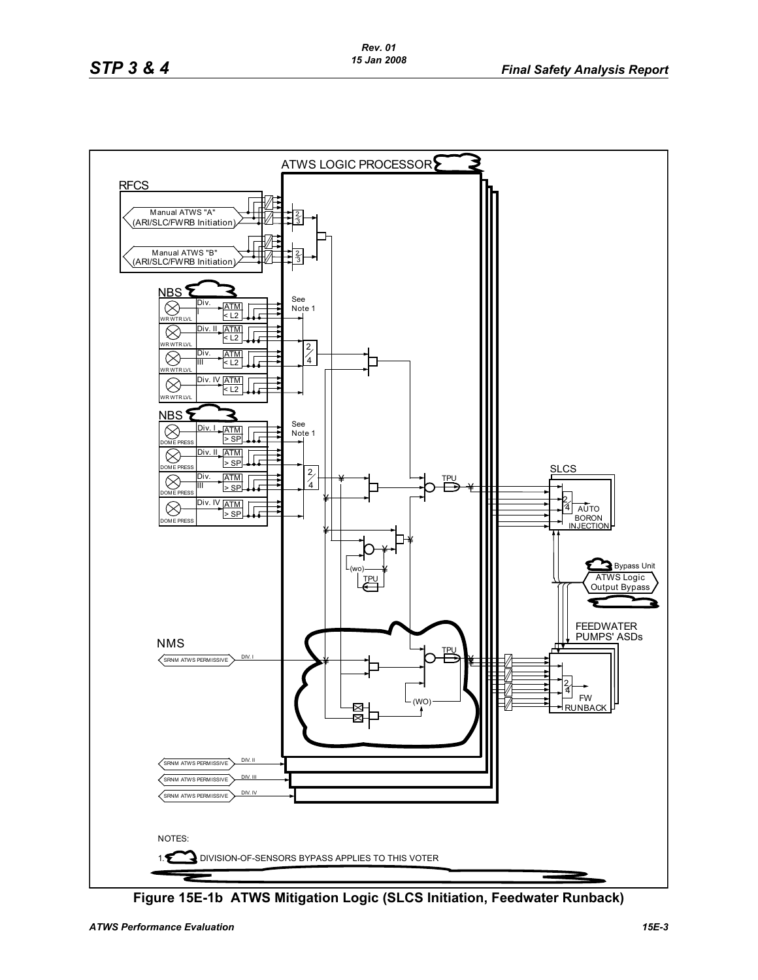

**Figure 15E-1b ATWS Mitigation Logic (SLCS Initiation, Feedwater Runback)**